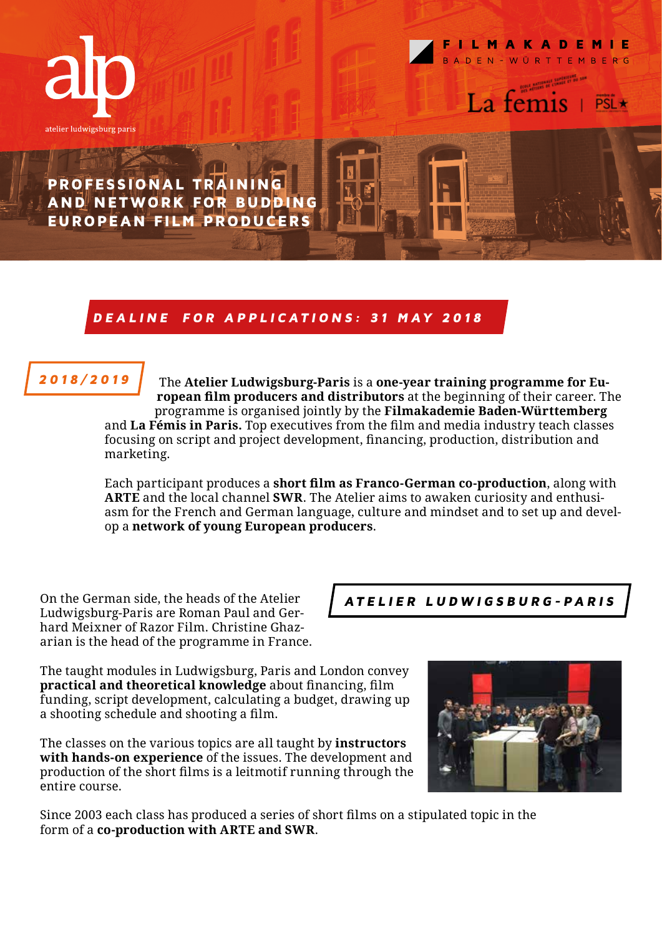



La temis

PROFESSIONAL TRAINING AND NETWORK FOR BUDDING EUROPEAN FILM PRODUCERS

## D E A L I N E FOR APPL ICAT IONS: 31 MAY 2018

### 2018/2019

The **Atelier Ludwigsburg-Paris** is a **one-year training programme for European film producers and distributors** at the beginning of their career. The programme is organised jointly by the **Filmakademie Baden-Württemberg** and **La Fémis in Paris.** Top executives from the film and media industry teach classes focusing on script and project development, financing, production, distribution and marketing.

Each participant produces a **short film as Franco-German co-production**, along with **ARTE** and the local channel **SWR**. The Atelier aims to awaken curiosity and enthusiasm for the French and German language, culture and mindset and to set up and develop a **network of young European producers**.

On the German side, the heads of the Atelier Ludwigsburg-Paris are Roman Paul and Gerhard Meixner of Razor Film. Christine Ghazarian is the head of the programme in France.

The taught modules in Ludwigsburg, Paris and London convey **practical and theoretical knowledge** about financing, film funding, script development, calculating a budget, drawing up a shooting schedule and shooting a film.

The classes on the various topics are all taught by **instructors with hands-on experience** of the issues. The development and production of the short films is a leitmotif running through the entire course.

Since 2003 each class has produced a series of short films on a stipulated topic in the form of a **co-production with ARTE and SWR**.

ATELIER LUDWIGSBURG-PARIS

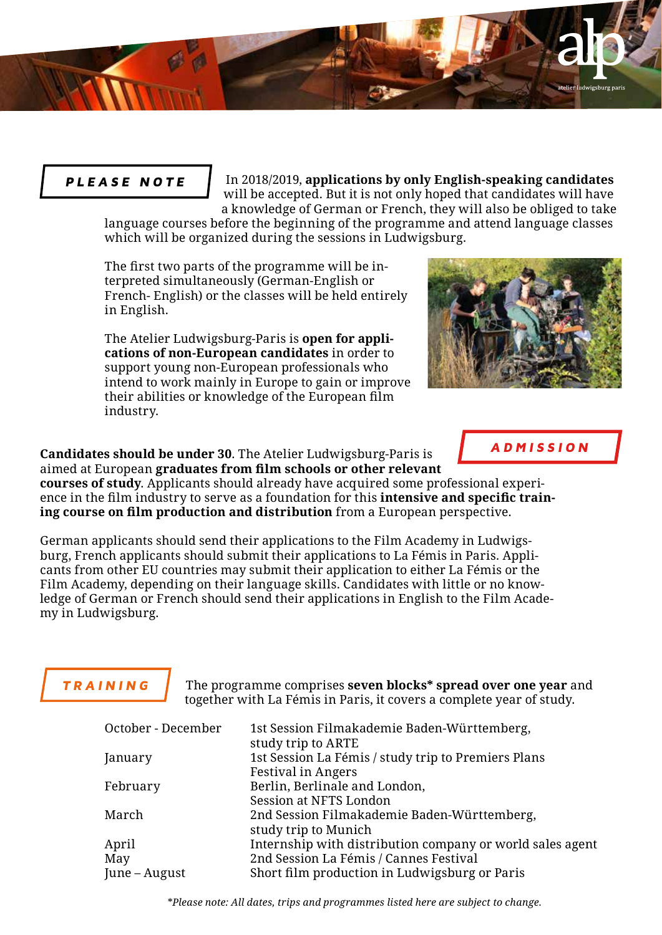

In 2018/2019, **applications by only English-speaking candidates**  will be accepted. But it is not only hoped that candidates will have a knowledge of German or French, they will also be obliged to take

language courses before the beginning of the programme and attend language classes which will be organized during the sessions in Ludwigsburg.

The first two parts of the programme will be interpreted simultaneously (German-English or French- English) or the classes will be held entirely in English.

The Atelier Ludwigsburg-Paris is **open for applications of non-European candidates** in order to support young non-European professionals who intend to work mainly in Europe to gain or improve their abilities or knowledge of the European film industry.

**Candidates should be under 30**. The Atelier Ludwigsburg-Paris is aimed at European **graduates from film schools or other relevant** 

**courses of study**. Applicants should already have acquired some professional experience in the film industry to serve as a foundation for this **intensive and specific training course on film production and distribution** from a European perspective.

German applicants should send their applications to the Film Academy in Ludwigsburg, French applicants should submit their applications to La Fémis in Paris. Applicants from other EU countries may submit their application to either La Fémis or the Film Academy, depending on their language skills. Candidates with little or no knowledge of German or French should send their applications in English to the Film Academy in Ludwigsburg.

## **TRAINING**

The programme comprises **seven blocks\* spread over one year** and together with La Fémis in Paris, it covers a complete year of study.

| October - December | 1st Session Filmakademie Baden-Württemberg,<br>study trip to ARTE |
|--------------------|-------------------------------------------------------------------|
| January            | 1st Session La Fémis / study trip to Premiers Plans               |
|                    | <b>Festival in Angers</b>                                         |
| February           | Berlin, Berlinale and London,                                     |
|                    | Session at NFTS London                                            |
| March              | 2nd Session Filmakademie Baden-Württemberg,                       |
|                    | study trip to Munich                                              |
| April              | Internship with distribution company or world sales agent         |
| May                | 2nd Session La Fémis / Cannes Festival                            |
| June – August      | Short film production in Ludwigsburg or Paris                     |

\**Please note: All dates, trips and programmes listed here are subject to change.*



igsburg paris